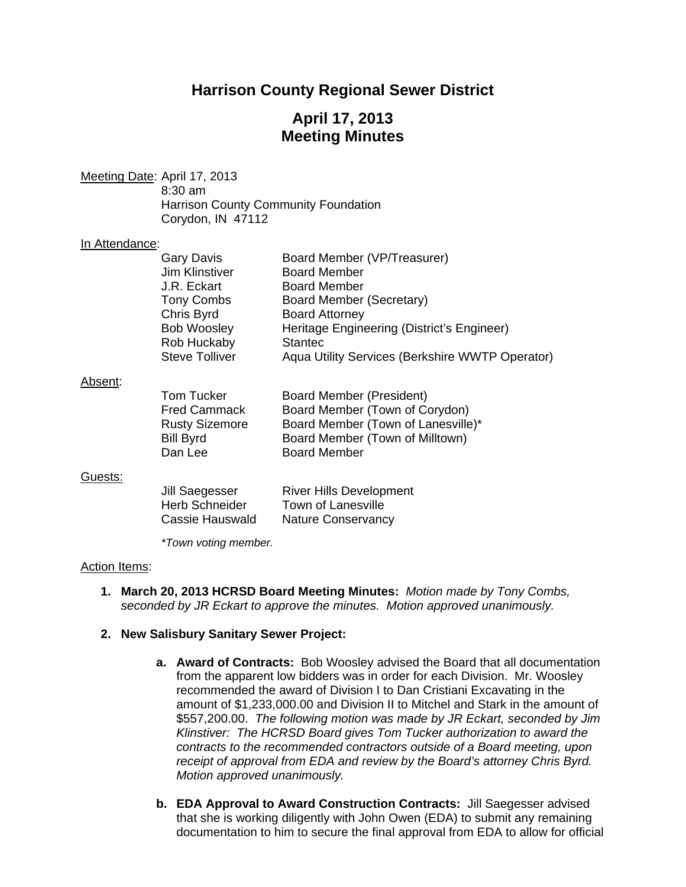# **Harrison County Regional Sewer District**

# **April 17, 2013 Meeting Minutes**

Meeting Date: April 17, 2013 8:30 am Harrison County Community Foundation Corydon, IN 47112

#### In Attendance:

| <b>Gary Davis</b>     | Board Member (VP/Treasurer)                     |
|-----------------------|-------------------------------------------------|
| Jim Klinstiver        | <b>Board Member</b>                             |
| J.R. Eckart           | <b>Board Member</b>                             |
| <b>Tony Combs</b>     | Board Member (Secretary)                        |
| Chris Byrd            | <b>Board Attorney</b>                           |
| <b>Bob Woosley</b>    | Heritage Engineering (District's Engineer)      |
| Rob Huckaby           | <b>Stantec</b>                                  |
| <b>Steve Tolliver</b> | Aqua Utility Services (Berkshire WWTP Operator) |
|                       |                                                 |

#### Absent:

| Tom Tucker<br><b>Fred Cammack</b><br><b>Rusty Sizemore</b> | Board Member (President)<br>Board Member (Town of Corydon)<br>Board Member (Town of Lanesville)* |
|------------------------------------------------------------|--------------------------------------------------------------------------------------------------|
| <b>Bill Byrd</b>                                           | Board Member (Town of Milltown)                                                                  |
| Dan Lee                                                    | <b>Board Member</b>                                                                              |
|                                                            |                                                                                                  |

#### Guests:

| Jill Saegesser        | <b>River Hills Development</b> |
|-----------------------|--------------------------------|
| <b>Herb Schneider</b> | Town of Lanesville             |
| Cassie Hauswald       | <b>Nature Conservancy</b>      |

 *\*Town voting member.* 

#### Action Items:

**1. March 20, 2013 HCRSD Board Meeting Minutes:** *Motion made by Tony Combs, seconded by JR Eckart to approve the minutes. Motion approved unanimously.* 

#### **2. New Salisbury Sanitary Sewer Project:**

- **a. Award of Contracts:** Bob Woosley advised the Board that all documentation from the apparent low bidders was in order for each Division. Mr. Woosley recommended the award of Division I to Dan Cristiani Excavating in the amount of \$1,233,000.00 and Division II to Mitchel and Stark in the amount of \$557,200.00. *The following motion was made by JR Eckart, seconded by Jim Klinstiver: The HCRSD Board gives Tom Tucker authorization to award the contracts to the recommended contractors outside of a Board meeting, upon receipt of approval from EDA and review by the Board's attorney Chris Byrd. Motion approved unanimously.*
- **b. EDA Approval to Award Construction Contracts:**Jill Saegesser advised that she is working diligently with John Owen (EDA) to submit any remaining documentation to him to secure the final approval from EDA to allow for official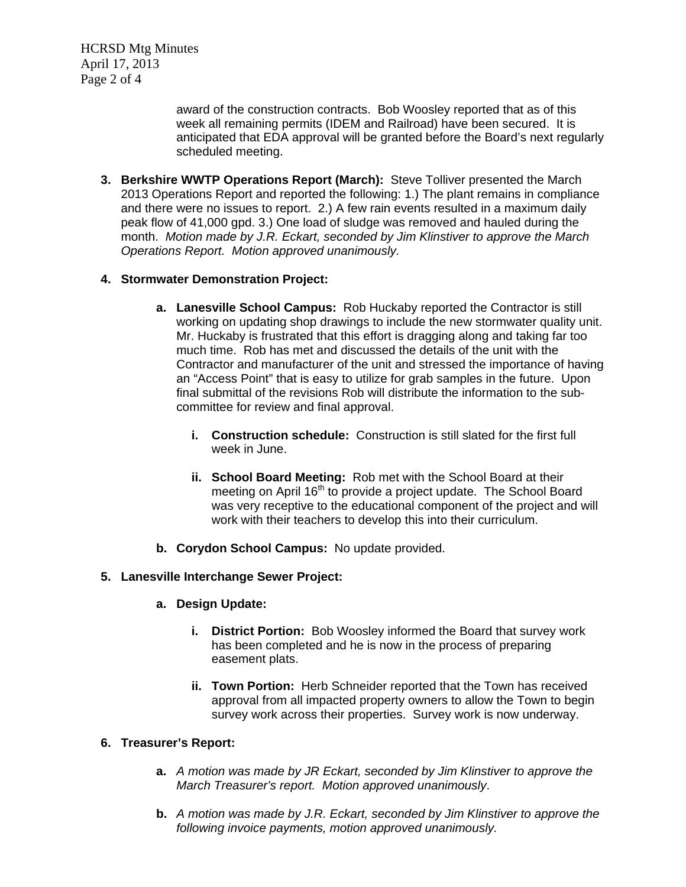HCRSD Mtg Minutes April 17, 2013 Page 2 of 4

> award of the construction contracts. Bob Woosley reported that as of this week all remaining permits (IDEM and Railroad) have been secured. It is anticipated that EDA approval will be granted before the Board's next regularly scheduled meeting.

**3. Berkshire WWTP Operations Report (March):** Steve Tolliver presented the March 2013 Operations Report and reported the following: 1.) The plant remains in compliance and there were no issues to report. 2.) A few rain events resulted in a maximum daily peak flow of 41,000 gpd. 3.) One load of sludge was removed and hauled during the month. *Motion made by J.R. Eckart, seconded by Jim Klinstiver to approve the March Operations Report. Motion approved unanimously.* 

## **4. Stormwater Demonstration Project:**

- **a. Lanesville School Campus:** Rob Huckaby reported the Contractor is still working on updating shop drawings to include the new stormwater quality unit. Mr. Huckaby is frustrated that this effort is dragging along and taking far too much time. Rob has met and discussed the details of the unit with the Contractor and manufacturer of the unit and stressed the importance of having an "Access Point" that is easy to utilize for grab samples in the future. Upon final submittal of the revisions Rob will distribute the information to the subcommittee for review and final approval.
	- **i. Construction schedule:** Construction is still slated for the first full week in June.
	- **ii. School Board Meeting:**Rob met with the School Board at their meeting on April  $16<sup>th</sup>$  to provide a project update. The School Board was very receptive to the educational component of the project and will work with their teachers to develop this into their curriculum.
- **b. Corydon School Campus:** No update provided.

## **5. Lanesville Interchange Sewer Project:**

- **a. Design Update:**
	- **i. District Portion:** Bob Woosley informed the Board that survey work has been completed and he is now in the process of preparing easement plats.
	- **ii. Town Portion:** Herb Schneider reported that the Town has received approval from all impacted property owners to allow the Town to begin survey work across their properties. Survey work is now underway.

## **6. Treasurer's Report:**

- **a.** *A motion was made by JR Eckart, seconded by Jim Klinstiver to approve the March Treasurer's report. Motion approved unanimously*.
- **b.** *A motion was made by J.R. Eckart, seconded by Jim Klinstiver to approve the following invoice payments, motion approved unanimously.*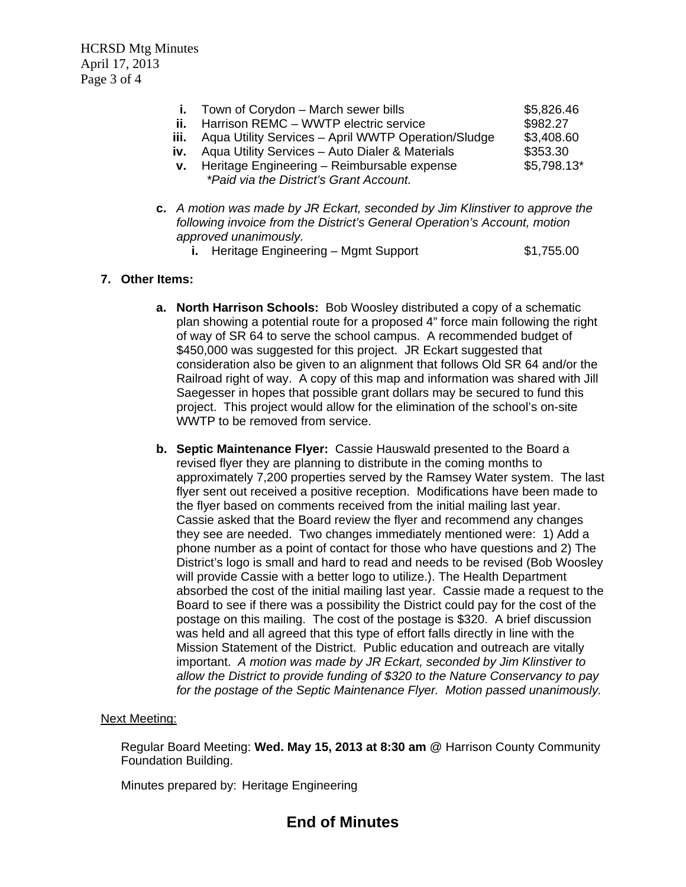HCRSD Mtg Minutes April 17, 2013 Page 3 of 4

- **i.** Town of Corvdon March sewer bills **65,826.46 ii.** Harrison REMC – WWTP electric service  $$982.27$ **iii.** Aqua Utility Services – April WWTP Operation/Sludge \$3,408.60 **iv.** Aqua Utility Services – Auto Dialer & Materials \$353.30 **v.** Heritage Engineering – Reimbursable expense \$5,798.13\* *\*Paid via the District's Grant Account.*
- **c.** *A motion was made by JR Eckart, seconded by Jim Klinstiver to approve the following invoice from the District's General Operation's Account, motion approved unanimously.* 
	- **i.** Heritage Engineering Mgmt Support \$1,755.00

## **7. Other Items:**

- **a. North Harrison Schools:** Bob Woosley distributed a copy of a schematic plan showing a potential route for a proposed 4" force main following the right of way of SR 64 to serve the school campus. A recommended budget of \$450,000 was suggested for this project. JR Eckart suggested that consideration also be given to an alignment that follows Old SR 64 and/or the Railroad right of way. A copy of this map and information was shared with Jill Saegesser in hopes that possible grant dollars may be secured to fund this project. This project would allow for the elimination of the school's on-site WWTP to be removed from service.
- **b. Septic Maintenance Flyer:** Cassie Hauswald presented to the Board a revised flyer they are planning to distribute in the coming months to approximately 7,200 properties served by the Ramsey Water system. The last flyer sent out received a positive reception. Modifications have been made to the flyer based on comments received from the initial mailing last year. Cassie asked that the Board review the flyer and recommend any changes they see are needed. Two changes immediately mentioned were: 1) Add a phone number as a point of contact for those who have questions and 2) The District's logo is small and hard to read and needs to be revised (Bob Woosley will provide Cassie with a better logo to utilize.). The Health Department absorbed the cost of the initial mailing last year. Cassie made a request to the Board to see if there was a possibility the District could pay for the cost of the postage on this mailing. The cost of the postage is \$320. A brief discussion was held and all agreed that this type of effort falls directly in line with the Mission Statement of the District. Public education and outreach are vitally important. *A motion was made by JR Eckart, seconded by Jim Klinstiver to allow the District to provide funding of \$320 to the Nature Conservancy to pay for the postage of the Septic Maintenance Flyer. Motion passed unanimously.*

## Next Meeting:

Regular Board Meeting: **Wed. May 15, 2013 at 8:30 am** @ Harrison County Community Foundation Building.

Minutes prepared by: Heritage Engineering

# **End of Minutes**